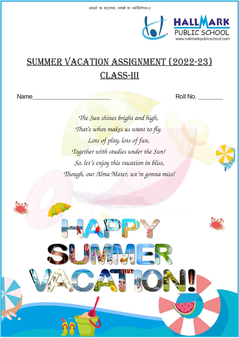

# **SUMMER VACATION ASSIGNMENT (2022-23) CLASS-III**

Name

Roll No.

The Sun shines bright and high, That's what makes us want to fly. Lots of play, lots of fun, Together with studies under the Sun! So, let's enjoy this vacation in bliss, Though, our Alma Mater, we're gonna miss!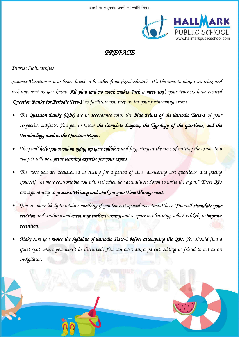

### *PREFACE*

### *Dearest Hallmarkites*

*Summer Vacation is a welcome break- a breather from fixed schedule. It's the time to play, rest, relax and recharge. But as you know 'All play and no work makes Jack a mere toy', your teachers have created 'Question Banks for Periodic Test-1' to facilitate you prepare for your forthcoming exams.* 

- *• The Question Banks (QBs) are in accordance with the Blue Prints of the Periodic Tests-1 of your respective subjects. You get to know the Complete Layout, the Typology of the questions, and the Terminology used in the Question Paper.*
- *• They will help you avoid mugging up your syllabus and forgetting at the time of writing the exam. In a way, it will be a great learning exercise for your exams.*
- *• The more you are accustomed to sitting for a period of time, answering test questions, and pacing yourself, the more comfortable you will feel when you actually sit down to write the exam." These QBs are a good way to practise Writing and work on your Time Management.*
- *• You are more likely to retain something if you learn it spaced over time. These QBs will stimulate your revision and studying and encourage earlier learning and so space out learning, which is likely to improve retention.*
- *• Make sure you revise the Syllabus of Periodic Tests-1 before attempting the QBs. You should find a quiet spot where you won't be disturbed. You can even ask a parent, sibling or friend to act as an invigilator.*

CLASS – III (PAGE 2 OF 26)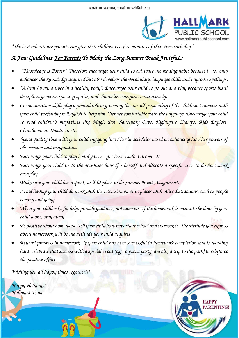

**RENTING** 

*"The best inheritance parents can give their children is a few minutes of their time each day."*

## *A Few Guidelines For Parents To Make the Long Summer Break FruitfuL:*

- *"Knowledge is Power". Therefore encourage your child to cultivate the reading habit because it not only enhances the knowledge acquired but also develops the vocabulary, language skills and improves spellings.*
- *"A healthy mind lives in a healthy body". Encourage your child to go out and play because sports instil discipline, generate sporting spirits, and channelize energies constructively.*
- *Communication skills play a pivotal role in grooming the overall personality of the children. Converse with your child preferably in English to help him / her get comfortable with the language. Encourage your child to read children's magazines like Magic Pot, Sanctuary Cubs, Highlights Champs, Kids Explore, Chandamama, Dimdima, etc.*
- *Spend quality time with your child engaging him / her in activities based on enhancing his / her powers of observation and imagination.*
- *Encourage your child to play board games e.g. Chess, Ludo, Carrom, etc.*
- *Encourage your child to do the activities himself / herself and allocate a specific time to do homework everyday.*
- *Make sure your child has a quiet, well-lit place to do Summer Break Assignment.*
- *Avoid having your child do work with the television on or in places with other distractions, such as people coming and going.*
- *When your child asks for help, provide guidance, not answers. If the homework is meant to be done by your child alone, stay away.*
- *Be positive about homework. Tell your child how important school and its work is. The attitude you express about homework will be the attitude your child acquires.*
- *Reward progress in homework. If your child has been successful in homework completion and is working hard, celebrate that success with a special event (e.g., a pizza party, a walk, a trip to the park) to reinforce the positive effort.*

CLASS – III (PAGE 3 OF 26)

*Wishing you all happy times together!!!* 

*Happy Holidays! Hallmark Team*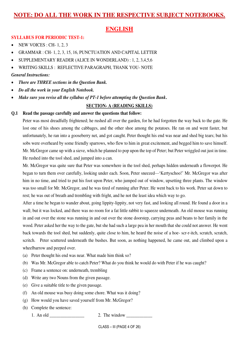### **ENGLISH**

#### **SYLLABUS FOR PERIODIC TEST-1:**

- $\bullet$  NEW VOICES : CH- 1, 2, 3
- GRAMMAR : CH- 1, 2, 3, 15, 16, PUNCTUATION AND CAPITAL LETTER
- SUPPLEMENTARY READER (ALICE IN WONDERLAND) : 1, 2, 3,4,5,6
- WRITING SKILLS : REFLECTIVE PARAGRAPH, THANK YOU- NOTE

#### *General Instructions:*

- *There are THREE sections in the Question Bank.*
- *Do all the work in your English Notebook.*
- *Make sure you revise all the syllabus of PT-1 before attempting the Question Bank***.**

#### **SECTION- A (READING SKILLS)**

#### **Q.1 Read the passage carefully and answer the questions that follow:**

 Peter was most dreadfully frightened; he rushed all over the garden, for he had forgotten the way back to the gate. He lost one of his shoes among the cabbages, and the other shoe among the potatoes. He ran on and went faster, but unfortunately, he ran into a gooseberry net, and got caught. Peter thought his end was near and shed big tears; but his sobs were overheard by some friendly sparrows, who flew to him in great excitement, and begged him to save himself. Mr. McGregor came up with a sieve, which he planned to pop upon the top of Peter; but Peter wriggled out just in time. He rushed into the tool shed, and jumped into a can.

 Mr. McGregor was quite sure that Peter was somewhere in the tool shed, perhaps hidden underneath a flowerpot. He began to turn them over carefully, looking under each. Soon, Peter sneezed—'Kertyschoo!' Mr. McGregor was after him in no time, and tried to put his foot upon Peter, who jumped out of window, upsetting three plants. The window was too small for Mr. McGregor, and he was tired of running after Peter. He went back to his work. Peter sat down to rest; he was out of breath and trembling with fright, and he not the least idea which way to go.

 After a time he began to wander about, going lippity-lippity, not very fast, and looking all round. He found a door in a wall; but it was locked, and there was no room for a fat little rabbit to squeeze underneath. An old mouse was running in and out over the stone was running in and out over the stone doorstep, carrying peas and beans to her family in the wood. Peter asked her the way to the gate, but she had such a large pea in her mouth that she could not answer. He went back towards the tool shed, but suddenly, quite close to him, he heard the noise of a hoe- scr-r-itch, scratch, scratch, scritch. Peter scuttered underneath the bushes. But soon, as nothing happened, he came out, and climbed upon a wheelbarrow and peeped over.

- (a) Peter thought his end was near. What made him think so?
- (b) Was Mr. McGregor able to catch Peter? What do you think he would do with Peter if he was caught?
- (c) Frame a sentence on: underneath, trembling
- (d) Write any two Nouns from the given passage.
- (e) Give a suitable title to the given passage.
- (f) An old mouse was busy doing some chore. What was it doing?
- (g) How would you have saved yourself from Mr. McGregor?
- (h) Complete the sentence:
	- 1. An old \_\_\_\_\_\_\_\_\_\_\_\_\_\_\_\_ 2. The window \_\_\_\_\_\_\_\_\_\_\_\_
		-

CLASS – III (PAGE 4 OF 26)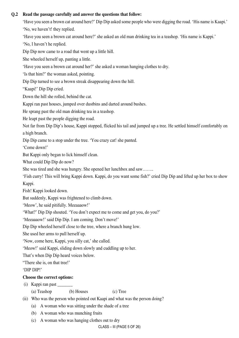#### **Q.2 Read the passage carefully and answer the questions that follow:**

'Have you seen a brown cat around here?' Dip Dip asked some people who were digging the road. 'His name is Kaapi.'

'No, we haven't! they replied.

'Have you seen a brown cat around here?' she asked an old man drinking tea in a teashop. 'His name is Kappi.'

'No, I haven't he replied.

Dip Dip now came to a road that went up a little hill.

She wheeled herself up, panting a little.

'Have you seen a brown cat around her?' she asked a woman hanging clothes to dry.

'Is that him?' the woman asked, pointing.

Dip Dip turned to see a brown streak disappearing down the hill.

"Kaapi!' Dip Dip cried.

Down the hill she rolled, behind the cat.

Kappi ran past houses, jumped over dustbins and darted around bushes.

He sprang past the old man drinking tea in a teashop.

He leapt past the people digging the road.

Not far from Dip Dip's house, Kappi stopped, flicked his tail and jumped up a tree. He settled himself comfortably on a high branch.

Dip Dip came to a stop under the tree. 'You crazy cat! she panted.

'Come down!'

But Kappi only began to lick himself clean.

What could Dip Dip do now?

She was tired and she was hungry. She opened her lunchbox and saw……..

'Fish curry! This will bring Kappi down. Kappi, do you want some fish?' cried Dip Dip and lifted up her box to show Kappi.

Fish! Kappi looked down.

But suddenly, Kappi was frightened to climb down.

'Meow', he said pitifully. Meeaaaow!'

'What?' Dip Dip shouted. 'You don't expect me to come and get you, do you?'

'Meeaaaow!' said Dip Dip. I am coming. Don't move!'

Dip Dip wheeled herself close to the tree, where a branch hung low.

She used her arms to pull herself up.

'Now, come here, Kappi, you silly cat,' she called.

'Meow!' said Kappi, sliding down slowly and cuddling up to her.

That's when Dip Dip heard voices below.

"There she is, on that tree!'

'DIP DIP!'

#### **Choose the correct options:**

(i) Kappi ran past \_\_\_\_\_\_\_

(a) Teashop (b) Houses (c) Tree

- (ii) Who was the person who pointed out Kaapi and what was the person doing?
	- (a) A woman who was sitting under the shade of a tree
	- (b) A woman who was munching fruits
	- (c) A woman who was hanging clothes out to dry

CLASS – III (PAGE 5 OF 26)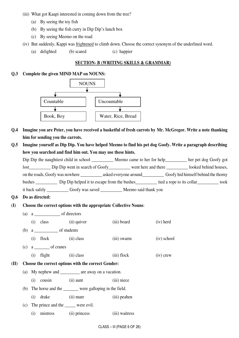- (iii) What got Kaapi interested in coming down from the tree?
	- (a) By seeing the toy fish
	- (b) By seeing the fish curry in Dip Dip's lunch box
	- (c) By seeing Meemo on the road
- (iv) But suddenly, Kappi was frightened to climb down. Choose the correct synonym of the underlined word.
	- (a) delighted (b) scared (c) happier

#### **SECTION- B (WRITING SKILLS & GRAMMAR)**

#### **Q.3 Complete the given MIND MAP on NOUNS:**



- **Q.4 Imagine you are Peter, you have received a basketful of fresh carrots by Mr. McGregor. Write a note thanking him for sending you the carrots.**
- **Q.5 Imagine yourself as Dip Dip. You have helped Meemo to find his pet dog Goofy. Write a paragraph describing how you searched and find him out. You may use these hints.**

|                                                       | Meemo came to her for help_________ | her pet dog Goofy got               |
|-------------------------------------------------------|-------------------------------------|-------------------------------------|
| Dip Dip went in search of Goofy<br>lost               | went here and there                 | looked behind houses,               |
|                                                       | asked everyone around               | Goofy hid himself behind the thorny |
| Dip Dip helped it to escape from the bushes<br>bushes |                                     | tied a rope to its collar<br>took   |
| it back safely                                        | Meemo said thank you                |                                     |

- **Q.6 Do as directed:**
- **(I) Choose the correct options with the appropriate Collective Nouns**:
	- (a) a \_\_\_\_\_\_\_\_\_\_\_\_ of directors
	- (i) class (ii) quiver (iii) board (iv) herd (b) a \_\_\_\_\_\_\_\_\_\_\_ of students
	- (i) flock (ii) class (iii) swarm (iv) school
	- $(c)$  a \_\_\_\_\_\_\_\_ of cranes
		- (i) flight (ii) class (iii) flock (iv) crew

#### **(II) Choose the correct options with the correct Gender:**

- (a) My nephew and are away on a vacation.
	- (i) cousin (ii) aunt (iii) niece
- (b) The horse and the \_\_\_\_\_\_\_ were galloping in the field.
	- (i) drake (ii) mare (iii) peahen
- (c) The prince and the \_\_\_\_\_ were evil.
	- (i) mistress (ii) princess (iii) waitress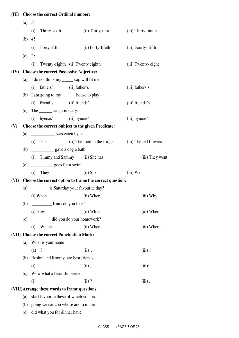### **(III) Choose the correct Ordinal number:**

|      | (a)      | 33                                                       |                           |                                                    |                       |  |  |  |  |  |  |
|------|----------|----------------------------------------------------------|---------------------------|----------------------------------------------------|-----------------------|--|--|--|--|--|--|
|      |          | Thirty-sixth<br>(i)                                      |                           | (ii) Thirty-third                                  | (iii) Thirty- ninth   |  |  |  |  |  |  |
|      | (b) $45$ |                                                          |                           |                                                    |                       |  |  |  |  |  |  |
|      |          | Forty-fifth<br>(i)                                       |                           | (ii) Forty-fifeth                                  | (iii) Fourty-fifth    |  |  |  |  |  |  |
|      | (c)      | 28                                                       |                           |                                                    |                       |  |  |  |  |  |  |
|      |          | (i)                                                      |                           | Twenty-eighth (ii) Twenty eighth                   | (iii) Twenty- eight   |  |  |  |  |  |  |
| (IV) |          | <b>Choose the correct Possessive Adjective:</b>          |                           |                                                    |                       |  |  |  |  |  |  |
|      |          | (a) I do not think my _______ cap will fit me.           |                           |                                                    |                       |  |  |  |  |  |  |
|      |          | (i)                                                      | fathers' (ii) father's    |                                                    | (iii) fathers's       |  |  |  |  |  |  |
|      |          | (b) I am going to my _______ house to play.              |                           |                                                    |                       |  |  |  |  |  |  |
|      |          | (i)                                                      | friend's (ii) friends'    |                                                    | (iii) friends's       |  |  |  |  |  |  |
|      |          | (c) The ________ laugh is scary.                         |                           |                                                    |                       |  |  |  |  |  |  |
|      |          | $(i)$ hyenas' $(ii)$ hyneas'                             |                           |                                                    | (iii) hyneas'         |  |  |  |  |  |  |
| (V)  |          |                                                          |                           | Choose the correct Subject to the given Predicate: |                       |  |  |  |  |  |  |
|      | (a)      | was eaten by us.                                         |                           |                                                    |                       |  |  |  |  |  |  |
|      |          | (i)                                                      |                           | The cat (ii) The food in the fridge                | (iii) The red flowers |  |  |  |  |  |  |
|      | (b)      |                                                          |                           |                                                    |                       |  |  |  |  |  |  |
|      |          |                                                          |                           | (i) Timmy and Sammy (ii) She has                   | (iii) They went       |  |  |  |  |  |  |
|      | (c)      | goes for a swim.                                         |                           |                                                    |                       |  |  |  |  |  |  |
|      |          | (i)<br>They                                              |                           | $(ii)$ She                                         | $(iii)$ We            |  |  |  |  |  |  |
| (VI) |          | Choose the correct option to frame the correct question: |                           |                                                    |                       |  |  |  |  |  |  |
|      | (a)      |                                                          |                           | _________ is Saturday your favourite day?          |                       |  |  |  |  |  |  |
|      |          | $(i)$ When                                               |                           | (ii) Where                                         | $(iii)$ Why           |  |  |  |  |  |  |
|      | (b)      |                                                          | _____ fruits do you like? |                                                    |                       |  |  |  |  |  |  |
|      |          | $(i)$ How                                                |                           | (ii) Which                                         | (iii) When            |  |  |  |  |  |  |
|      | (c)      |                                                          |                           | did you do your homework?                          |                       |  |  |  |  |  |  |
|      |          | Which<br>(i)                                             |                           | (ii) When                                          | (iii) Where           |  |  |  |  |  |  |
|      |          | (VII) Choose the correct Punctuation Mark:               |                           |                                                    |                       |  |  |  |  |  |  |
|      | (a)      | What is your name                                        |                           |                                                    |                       |  |  |  |  |  |  |
|      |          | $(a)$ ?                                                  |                           | $(ii)$ .                                           | $(iii)$ !             |  |  |  |  |  |  |
|      | (b)      | Roshni and Roomy are best friends                        |                           |                                                    |                       |  |  |  |  |  |  |
|      |          | (i)                                                      |                           | $(ii)$ ,                                           | $(iii)$ :             |  |  |  |  |  |  |
|      | (c)      | Wow what a beautiful scene.                              |                           |                                                    |                       |  |  |  |  |  |  |
|      |          | $\overline{\phantom{a}}$<br>(i)                          |                           | $(ii)$ ?                                           | $(iii)$ .             |  |  |  |  |  |  |
|      |          | (VIII) Arrange these words to frame questions:           |                           |                                                    |                       |  |  |  |  |  |  |
|      | (a)      | skirt favourite these of which your is                   |                           |                                                    |                       |  |  |  |  |  |  |
|      | (b)      | going we car zoo whose are to in the                     |                           |                                                    |                       |  |  |  |  |  |  |

(c) did what you for dinner have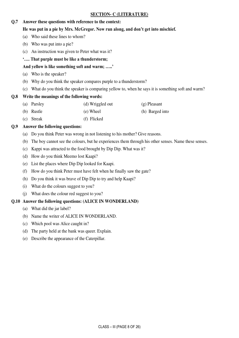#### **SECTION- C (LITERATURE)**

#### **Q.7 Answer these questions with reference to the context:**

#### **He was put in a pie by Mrs. McGregor. Now run along, and don't get into mischief.**

- (a) Who said these lines to whom?
- (b) Who was put into a pie?
- (c) An instruction was given to Peter what was it?
- **'…. That purple must be like a thunderstorm;**

#### **And yellow is like something soft and warm; …..'**

- (a) Who is the speaker?
- (b) Why do you think the speaker compares purple to a thunderstorm?
- (c) What do you think the speaker is comparing yellow to, when he says it is something soft and warm?

#### **Q.8 Write the meanings of the following words:**

- (a) Parsley (d) Wriggled out (g) Pleasant
- (b) Rustle (e) Wheel (h) Barged into
- (c) Streak (f) Flicked

#### **Q.9 Answer the following questions:**

- (a) Do you think Peter was wrong in not listening to his mother? Give reasons.
- (b) The boy cannot see the colours, but he experiences them through his other senses. Name these senses.
- (c) Kappi was attracted to the food brought by Dip Dip. What was it?
- (d) How do you think Meemo lost Kaapi?
- (e) List the places where Dip Dip looked for Kaapi.
- (f) How do you think Peter must have felt when he finally saw the gate?
- (h) Do you think it was brave of Dip Dip to try and help Kaapi?
- (i) What do the colours suggest to you?
- (j) What does the colour red suggest to you?

#### **Q.10 Answer the following questions: (ALICE IN WONDERLAND)**

- (a) What did the jar label?
- (b) Name the writer of ALICE IN WONDERLAND.
- (c) Which pool was Alice caught in?
- (d) The party held at the bank was queer. Explain.
- (e) Describe the appearance of the Caterpillar.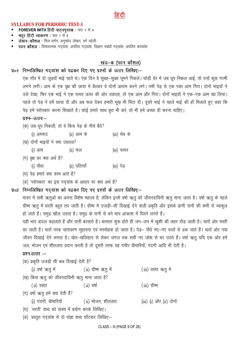#### **SYLLABUS FOR PERIODIC TEST-1**

- FOREVER WITH हिंदी पाठ्यपुस्तक: पाठ 1 से 4
- मधूर हिंदी व्याकरण: पाठ 1 से 5
- लेखन-कौशल: चित्र वर्णन, अनुच्छेद लेखन, वर्ग पहेली
- पठन कौशल : विचारात्मक गदयांश, अपठित गदयांश, विज्ञान संबंधी गदयांश, अपठित काव्यांश

### खंड–क (पठन कौशल)

#### प्र०1 निम्नलिखित गदयांश को पढ़कर दिए गए प्रश्नों के उत्तर लिखिए:-

एक गाँव में दो जुडवाँ भाई रहते थे। एक दिन वे सुबह—सुबह घुमने निकले। थोडी देर में जब धुप निकल आई, तो उन्हें कुछ गरमी लगने लगी। आम के एक वृक्ष की छाया में बैठकर वे दोनों आराम करने लगे। तभी पेड़ से एक पका आम गिरा। दोनों भाइयों ने उसे देखा, फिर एक भाई ने एक पत्थर ऊपर की ओर उछाला, तो एक आम और गिरा। दोनों भाइयों ने एक–एक आम खा लिया। पहले तो पेड़ ने हमें छाया दी और अब फल देकर हमारी भूख भी मिटा दी। दूसरे भाई ने पहले भाई की हाँ मिलाते हुए कहा कि पेड़ हमें परोपकार करना सिखाते है। कोई हमारे साथ बूरा भी करे, तो भी हमें अच्छा ही करना चाहिए।

#### प्रश्न-उत्तर:-

- (क) जब धूप निकली, तो वे किस पेड़ के नीचे बैठे?
	- (i) अमरूद (ii) आम के (iii) सेब के
- (ख) दोनों भाइयों ने क्या उछाला?
	- (i) आम (ii) फल (iii) पत्थर
- (ग) वृक्ष का क्या अर्थ है?
	- (i) पौधा (ii) पत्तियाँ (iii) पेड
- (घ) पेड हमारे क्या काम आते है?
- (ङ) 'परोपकार' का इस गद्यांश के आधार पर क्या अर्थ है?

#### प्र०2 निम्नलिखित गद्यांश को पढ़कर दिए गए प्रश्नों के उत्तर लिखिए:–

भारत में सभी ऋतुओं का अपना विशेष महत्त्व है, लेकिन इनमें वर्षा ऋतु को जीवनदायिनी ऋतु माना जाता है। वर्षा ऋतु के पहले ग्रीष्म ऋतु में धरती बहुत तप जाती है। ग्रीष्म में उजड़ी-सी दिखाई देने वाली प्रकृति और इसके प्राणी पानी की कमी से व्याकुल हो जाते हैं। समुद्र खौल उठता है। समुद्र के पानी से बने भाप आकाश में घिरने लगते हैं।

यही भाप बादल कहलाते हैं और पानी बरसाते है। बरसात शुरू होते ही जन-जन में खुशी की लहर दौड़ जाती है। चारों ओर मस्ती छा जाती है। चारों तरफ़ वातावरण सुहावना एवं मनमोहक हो जाता है। पेड़– पौधे नए–नए पत्तों से ढक जाते हैं। चारों ओर नया जीवन दिखाई देने लगता है। खेत-खलिहान से लेकर जंगल तक सभी नए जोश से भर उठते हैं। वर्षा ऋतु यदि एक ओर हमें जल, भोजन एवं शीतलता प्रदान करती है तो दूसरी तरफ यह गंभीर बीमारियाँ, गंदगी आदि भी देती है।

#### प्रश्न उत्तर: $-$

- (क) प्रकृति उजड़ी सी कब दिखाई देती है?
- (iii) वसंत ऋत में (i) वर्षा ऋतु में (ii) ग्रीष्म ऋतु में (ख) किस ऋतु को जीवनदायिनी ऋतु माना जाता है?  $(i)$  वसंत  $(ii)$  वर्षा  $(iii)$  ग्रीष्म (ग) वर्षा ऋतु हमें क्या देती हैं?
- (i) गंदगी, बीमारियाँ (ii) भोजन, शीतलता (iii) (i) और (ii) दोनों
- (घ) 'धरती' शब्द को वाक्य में प्रयोग करके लिखिए।
- (ङ) प्रस्तुत गदयांश से दो संज्ञा शब्द छाँटकर लिखिए:–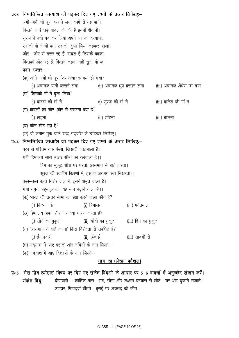```
प्र०3 निम्नलिखित काव्यांश को पढकर दिए गए प्रश्नों के उत्तर लिखिए:–
      अभी-अभी भी धूप, बरसने लगा कहाँ से यह पानी,
      किसने फोड़े घड़े बादल के, की है इतनी शैतानी।
      सूरज ने क्यों बंद कर लिया अपने घर का दरवाज़ा,
      उसकी माँ ने भी क्या उसको, बुला लिया कहकर आजा।
      जोर- जोर से गरज रहे हैं, बादल हैं किसके काका,
      किसको डाँट रहे हैं, किसने कहना नहीं सुना माँ का।
      प्रश्न-उत्तर :-
      (क) अभी-अभी थी धुप फिर अचानक क्या हो गया?
           (i) अचानक पानी बरसने लगा
                                                (ii) अचानक धुप बरसने लगा
                                                                                (iii) अचानक अँधेरा छा गया
      (ख) किसकी माँ ने बुला लिया?
           (i) बादल की माँ ने
                                                                                (iii) बारिश की माँ ने
                                                (i) सूरज की माँ ने
      (ग) बादलों का जोर-जोर से गरजना क्या है?
           (i) लडना
                                                (ii) डाँटना
                                                                                (iii) बोलना
      (घ) कौन डाँट रहा है?
      (ङ) दो समान तुक वाले शब्द गद्यांश से छाँटकर लिखिए।
प्र०४ निम्नलिखित काव्यांश को पढकर दिए गए प्रश्नों के उत्तर लिखिए:–
      परब से पश्चिम तक फैली, जिसकी पर्वतमाला है।
      यही हिमालय सारी उत्तर सीमा का रखवाला है।।
                हिम का मुकूट शीश पर धरती, आसमान से बातें करता।
                सुरज की स्वर्णिम किरणों में, इसका जगमग रूप निखरता।।
      कल-कल बहते निर्झर जल में, इसने अमृत डाला है।
      गंगा यमुना ब्रहमपुत्र का, यह मान बढ़ाने वाला है।।
      (क) भारत की उत्तर सीमा का रक्षा करने वाला कौन है?
           (i) विन्ध्य पर्वत
                                        (i) हिमालय
                                                                (iii) पर्वतमाला
      (ख) हिमालय अपने शीश पर क्या धारण करता है?
           (i) सोने का मुकूट
                                        (ii) चाँदी का मुकूट
                                                                (iii) हिम का मुकूट
      (ग) 'आसमान से बातें करना' किस विशेषता से संबधित है?
           (i) ईमानदारी
                                        (ii) ऊँचाई
                                                                (iii) सादगी से
      (घ) गद्याश में आए पहाड़ों और नदियों के नाम लिखों:-
      (ङ) गदयाश में आए दिशाओं के नाम लिखों:-
```
#### भाग–ख (लेखन कौशल)

प्र०5 'मेरा प्रिय त्योहार' विषय पर दिए गए संकेत बिंदओं के आधार पर 5-6 वाक्यों में अनुच्छेद लेखन करें। दीपावली – कार्तिक मास– राम, सीमा और लक्ष्मण वनवास से लौटे– घर और दुकाने सजाते– संकेत बिंद्— उपहार, मिठाइयाँ बाँटते– बुराई पर अच्छाई की जीत–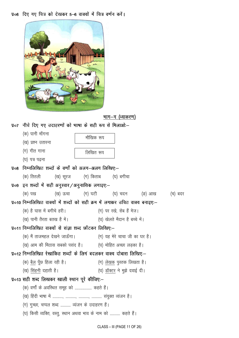प्र०६ दिए गए चित्र को देखकर 5–6 वाक्यों में चित्र वर्णन करें।

|               | भाग—ग (व्याकरण)                                                                   |
|---------------|-----------------------------------------------------------------------------------|
| $\sqrt{q}$ o7 | नीचे दिए गए उदाहरणों को भाषा के सही रूप से मिलाओ:-                                |
|               | (क) पानी माँगना<br>मौखिक रूप                                                      |
|               | (ख) प्रश्न उतारना                                                                 |
|               | (ग) गीत गाना<br>लिखित रूप                                                         |
|               | (घ) पत्र पढ़ना                                                                    |
| $y_{08}$      | निम्नलिखित शब्दों के वर्णो को अलग-अलग लिखिए:–                                     |
|               | (क) तितली        (ख) सूरज       (ग) किताब       (घ) बगीचा                         |
| $y_{09}$      | इन शब्दों में सही अनुस्वार/अनुनासिक लगाइएः–                                       |
|               | (क) पख            (ख) ऊचा        (ग) घटी         (घ) चदन        (ङ) आख<br>(च) बदर |
|               | प्र०10 निम्नलिखित वाक्यों में शब्दों को सही क्रम में लगाकर उचित वाक्य बनाइए:-     |
|               | (क) है घास में बगीचे हरी।<br>(ग) पर रखे, सेब हैं मेज़।                            |
|               | (ख) पानी तैरता बतख है में।<br>(घ) खेलते मैदान है बच्चे में।                       |
|               | प्र०11 निम्नलिखित वाक्यों से संज्ञा शब्द छाँटकर लिखिए:-                           |
|               | (क) मैं ताजमहल देखने जाऊँगा।                (ग) यह मेरे चाचा जी का घर है।         |
|               | (ख) आम की मिठास सबको पसंद है।         (घ) मोहित अच्छा लड़का है।                   |
|               | प्र०12 निम्नलिखित रेखांकित शब्दों के लिगं बदलकर वाक्य दोबारा लिखिए:—              |
|               | (क) बैल पूँछ हिला रही है।<br>(ग) लेखक पुस्तक लिखता है।                            |
|               | (घ) डॉक्टर ने मुझे दवाई दी।<br>(ख) सिंहनी दहाती है।                               |
|               | प्र०13 सही शब्द लिखकर खाली स्थान पूरे कीजिए:–                                     |
|               | (क) वर्णों के अवस्थित समूह को  कहते हैं।                                          |
|               |                                                                                   |
|               | (ग) गुच्छा, चप्पल शब्द  व्यंजन के उदाहरण हैं।                                     |
|               | (घ) किसी व्यक्ति, वस्तु, स्थान अथवा भाव के नाम को  कहते हैं।                      |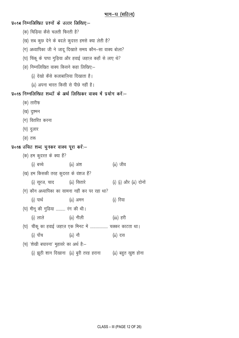प्र०14 निम्नलिखित प्रश्नों के उत्तर लिखिए:-

- (क) चिडिया कैसे चलती फिरती है?
- (ख) सब कुछ देने के बदले कुदरत हमसे क्या लेती है?
- (ग) अध्यापिका जी ने जादू दिखाते समय कौन-सा वाक्य बोला?
- (घ) चिंकू के पापा गुड़िया और हवाई जहाज़ कहाँ से लाए थे?
- (ङ) निम्नलिखित वाक्य किसने कहा लिखिए:-
	- (i) देखो कैसे कलाबाज़िया दिखाता है।
	- (ii) अपना भारत किसी से पीछे नहीं है।
- प्र०१५ निम्नलिखित शब्दों के अर्थ लिखिकर वाक्य में प्रयोग करें:--
	- (क) तारीफ़
	- (ख) दुश्मन
	- (ग) वितरित करना
	- (घ) दुलार
	- (ङ) तरू

### प्र०16 उचित शब्द चुनकर वाक्य पूरा करें:-

| (क) हम कुदरत के क्या हैं?                            |                                          |                             |  |  |  |  |  |  |  |
|------------------------------------------------------|------------------------------------------|-----------------------------|--|--|--|--|--|--|--|
| (i) बच्चे <u>पार</u>                                 | (ii) अंश                                 | (ii) जीव                    |  |  |  |  |  |  |  |
| (ख) हम किसकी तरह कुदरत के वंशज हैं?                  |                                          |                             |  |  |  |  |  |  |  |
| (i) सूरज, चाद           (ii) सितारे                  |                                          | $(i)$ $(i)$ और $(ii)$ दोनों |  |  |  |  |  |  |  |
| (ग) कौन अध्यापिका का सामना नहीं कर पर रहा था?        |                                          |                             |  |  |  |  |  |  |  |
| (i) पार्थ<br>(ii) अमन                                |                                          | (i) रिया                    |  |  |  |  |  |  |  |
| (घ) मीनू की गुडिया  रंग की थी।                       |                                          |                             |  |  |  |  |  |  |  |
| (i) लाले (ii) नीली                                   |                                          | (iii) हरी                   |  |  |  |  |  |  |  |
| (घ) चींकू का हवाई जहाज़ एक मिनट में  चक्कर काटता था। |                                          |                             |  |  |  |  |  |  |  |
| (i) पॉच                                              | $(ii)$ नौ                                | $(ii)$ दस                   |  |  |  |  |  |  |  |
| (च) 'शेखी बघारना' मुहावरे का अर्थ हैं:-              |                                          |                             |  |  |  |  |  |  |  |
|                                                      | (i) झूठी शान दिखाना  (ii) बुरी तरह हराना | (ii) बहुत खुश होना          |  |  |  |  |  |  |  |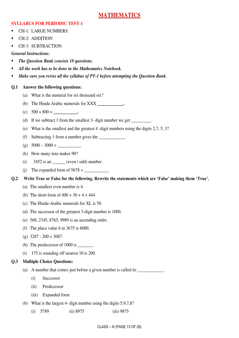### **MATHEMATICS**

#### **SYLLABUS FOR PERIODIC TEST-1**

- CH-1: LARGE NUMBERS
- CH-2: ADDITION
- CH-3: SUBTRACTION

#### *General Instructions:*

- *The Question Bank consists 18 questions.*
- *All the work has to be done in the Mathematics Notebook.*
- *Make sure you revise all the syllabus of PT-1 before attempting the Question Bank.*

#### **Q.1 Answer the following questions:**

- (a) What is the numeral for six thousand six?
- (b) The Hindu Arabic numerals for XXX **\_\_\_\_\_\_\_\_\_\_\_\_.**
- (c) 500 + 800 = **\_\_\_\_\_\_\_\_\_\_\_.**
- (d) If we subtract 1 from the smallest 3- digit number we get  $\frac{1}{\sqrt{1-\frac{1}{\sqrt{1-\frac{1}{\sqrt{1-\frac{1}{\sqrt{1-\frac{1}{\sqrt{1-\frac{1}{\sqrt{1-\frac{1}{\sqrt{1-\frac{1}{\sqrt{1-\frac{1}{\sqrt{1-\frac{1}{\sqrt{1-\frac{1}{\sqrt{1-\frac{1}{\sqrt{1-\frac{1}{\sqrt{1-\frac{1}{\sqrt{1-\frac{1}{\sqrt{1-\frac{1}{\sqrt{1-\frac{1}{\sqrt{1-\frac{1}{$
- (e) What is the smallest and the greatest 4 -digit numbers using the digits 2,7, 5, 3?
- (f) Subtracting 1 from a number gives the  $\qquad \qquad$
- (g)  $5000 3000 =$
- (h) How many tens makes 90?
- (i)  $3452$  is an  $(even / odd)$  number.
- (i) The expanded form of  $5678 =$
- **Q.2 Write True or False for the following. Rewrite the statements which are 'False' making them 'True'.**
	- (a) The smallest even number is 4.
	- (b) The short form of  $400 + 30 + 4 = 444$
	- (c) The Hindu-Arabic numerals for XL is 50.
	- (d) The successor of the greatest 3-digit number is 1000.
	- (e) 568, 2345, 8765, 9989 is an ascending order.
	- (f) The place value 6 in 3675 is 6000.
	- (g) 3287 200 = 3087.
	- (h) The predecessor of  $1000$  is  $\qquad \qquad$ .
	- (i) 175 is rounding off nearest 10 is 200.

### **Q.3 Multiple Choice Questions:**

- (a) A number that comes just before a given number is called its \_\_\_\_\_\_\_\_\_\_\_\_\_.
	- (i) Successor
	- (ii) Predecessor
	- (iii) Expanded form
- (b) What is the largest 4- digit number using the digits 5,9,7,8?
	- (i) 5789 (ii) 8975 (iii) 9875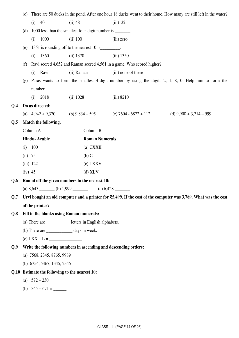|     | (c)                                                                                                            | There are 50 ducks in the pond. After one hour 18 ducks went to their home. How many are still left in the water? |                                                           |                                                                        |                                                                                                      |  |  |  |  |  |
|-----|----------------------------------------------------------------------------------------------------------------|-------------------------------------------------------------------------------------------------------------------|-----------------------------------------------------------|------------------------------------------------------------------------|------------------------------------------------------------------------------------------------------|--|--|--|--|--|
|     |                                                                                                                | 40<br>(i)                                                                                                         | $(ii)$ 48                                                 | $(iii)$ 32                                                             |                                                                                                      |  |  |  |  |  |
|     | (d)                                                                                                            |                                                                                                                   | 1000 less than the smallest four-digit number is _______. |                                                                        |                                                                                                      |  |  |  |  |  |
|     |                                                                                                                | 1000<br>(i)                                                                                                       | $(ii)$ 100                                                | (iii) zero                                                             |                                                                                                      |  |  |  |  |  |
|     | (e)                                                                                                            |                                                                                                                   | 1351 is rounding off to the nearest 10 is ________.       |                                                                        |                                                                                                      |  |  |  |  |  |
|     |                                                                                                                | 1360<br>(i)                                                                                                       | (ii) 1370                                                 | $(iii)$ 1350                                                           |                                                                                                      |  |  |  |  |  |
|     | (f)                                                                                                            |                                                                                                                   |                                                           | Ravi scored 4,652 and Raman scored 4,561 in a game. Who scored higher? |                                                                                                      |  |  |  |  |  |
|     |                                                                                                                | (i) Ravi                                                                                                          | (ii) Raman                                                | (iii) none of these                                                    |                                                                                                      |  |  |  |  |  |
|     | (g)                                                                                                            |                                                                                                                   |                                                           |                                                                        | Paras wants to form the smallest 4-digit number by using the digits 2, 1, 8, 0. Help him to form the |  |  |  |  |  |
|     |                                                                                                                | number.                                                                                                           |                                                           |                                                                        |                                                                                                      |  |  |  |  |  |
|     |                                                                                                                | 2018<br>(i)                                                                                                       | (ii) 1028                                                 | $(iii)$ 8210                                                           |                                                                                                      |  |  |  |  |  |
| Q.4 |                                                                                                                | Do as directed:                                                                                                   |                                                           |                                                                        |                                                                                                      |  |  |  |  |  |
|     |                                                                                                                |                                                                                                                   |                                                           | (a) $4,942 + 9,370$ (b) $9,834 - 595$ (c) $7604 - 6872 + 112$          | (d) $9,900 + 3,214 - 999$                                                                            |  |  |  |  |  |
| Q.5 |                                                                                                                | Match the following.                                                                                              |                                                           |                                                                        |                                                                                                      |  |  |  |  |  |
|     | Column A                                                                                                       |                                                                                                                   | Column B                                                  |                                                                        |                                                                                                      |  |  |  |  |  |
|     | Hindu-Arabic                                                                                                   |                                                                                                                   |                                                           | <b>Roman Numerals</b>                                                  |                                                                                                      |  |  |  |  |  |
|     | 100<br>(i)                                                                                                     |                                                                                                                   | $(a)$ CXXII                                               |                                                                        |                                                                                                      |  |  |  |  |  |
|     | (ii) 75                                                                                                        |                                                                                                                   | $(b)$ C                                                   |                                                                        |                                                                                                      |  |  |  |  |  |
|     |                                                                                                                | $(iii)$ 122                                                                                                       | $(c)$ LXXV                                                |                                                                        |                                                                                                      |  |  |  |  |  |
|     | $(iv)$ 45                                                                                                      |                                                                                                                   | $(d)$ XLV                                                 |                                                                        |                                                                                                      |  |  |  |  |  |
| Q.6 | Round off the given numbers to the nearest 10:                                                                 |                                                                                                                   |                                                           |                                                                        |                                                                                                      |  |  |  |  |  |
|     |                                                                                                                |                                                                                                                   | (a) $8,645$ (b) $1,999$ (c)                               | (c) 6,428                                                              |                                                                                                      |  |  |  |  |  |
| Q.7 | Urvi bought an old computer and a printer for ₹5,499. If the cost of the computer was 3,789. What was the cost |                                                                                                                   |                                                           |                                                                        |                                                                                                      |  |  |  |  |  |
|     |                                                                                                                | of the printer?                                                                                                   |                                                           |                                                                        |                                                                                                      |  |  |  |  |  |
| Q.8 |                                                                                                                |                                                                                                                   | Fill in the blanks using Roman numerals:                  |                                                                        |                                                                                                      |  |  |  |  |  |
|     | (a) There are ______________ letters in English alphabets.                                                     |                                                                                                                   |                                                           |                                                                        |                                                                                                      |  |  |  |  |  |
|     | (b) There are ______________ days in week.                                                                     |                                                                                                                   |                                                           |                                                                        |                                                                                                      |  |  |  |  |  |
|     |                                                                                                                |                                                                                                                   |                                                           |                                                                        |                                                                                                      |  |  |  |  |  |
| Q.9 | Write the following numbers in ascending and descending orders:                                                |                                                                                                                   |                                                           |                                                                        |                                                                                                      |  |  |  |  |  |
|     |                                                                                                                | (a) 7568, 2345, 8765, 9989                                                                                        |                                                           |                                                                        |                                                                                                      |  |  |  |  |  |
|     |                                                                                                                | (b) 6754, 5467, 1345, 2345                                                                                        |                                                           |                                                                        |                                                                                                      |  |  |  |  |  |
|     |                                                                                                                |                                                                                                                   | Q.10 Estimate the following to the nearest 10:            |                                                                        |                                                                                                      |  |  |  |  |  |
|     |                                                                                                                |                                                                                                                   |                                                           |                                                                        |                                                                                                      |  |  |  |  |  |
|     |                                                                                                                | (b) $345 + 671 =$                                                                                                 |                                                           |                                                                        |                                                                                                      |  |  |  |  |  |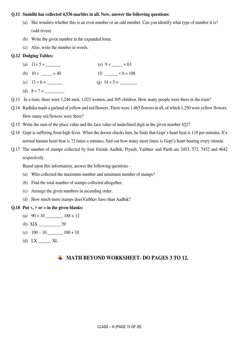#### **Q.11 Sunidhi has collected 4,536 marbles in all. Now, answer the following questions:**

- (a) She wonders whether this is an even number or an odd number. Can you identify what type of number it is? (odd /even)
- (b) Write the given number in the expanded form.
- (c) Also, write the number in words.

#### **Q.12 Dodging Tables:**

- (a)  $11 \times 5 =$  (e)  $9 \times$  = 63
- (b)  $10 \times \_ = 40$  (f)  $\_ \times 8 = 108$
- (c) 13 6 = \_\_\_\_\_\_\_ (g) 14 5 = \_\_\_\_\_\_\_\_
- (d)  $8 \times 7 =$
- Q.13 In a train, there were 1,246 men, 1,023 women, and 305 children. How many people were there in the train?
- Q.14 Radhika made a garland of yellow and red flowers. There were 1,465 flowers in all, of which 1,250 were yellow flowers. How many red flowers were there?
- Q.15 Write the sum of the place value and the face value of underlined digit in the given number 4527.
- Q.16 Gopi is suffering from high fever. When the doctor checks him, he finds that Gopi's heart beat is 110 per minutes. If a normal human heart beat is 72 times a minutes, find out how many more times is Gopi's heart beating every minute.
- Q.17 The number of stamps collected by four friends Aadhik, Piyush, Vaibhav and Parth are 2453, 572, 7432 and 4642 respectively.

Based upon this information, answer the following questions -

- (a) Who collected the maximum number and minimum number of stamps?
- (b) Find the total number of stamps collected altogether.
- (c) Arrange the given numbers in ascending order.
- (d) How much more stamps doesVaibhav have than Aadhik?

#### Q.18 Put  $\langle \cdot, \cdot \rangle$  or = in the given blanks:

- (a)  $90 + 10$   $188 + 12$
- (b) XIX \_\_\_\_\_\_\_\_\_\_ 39
- (c)  $100 10$  \_\_\_\_\_\_\_\_  $100 + 10$
- (d)  $LX$   $KL$

#### $\uparrow$  **MATH BEYOND WORKSHEET- DO PAGES 3 TO 12.**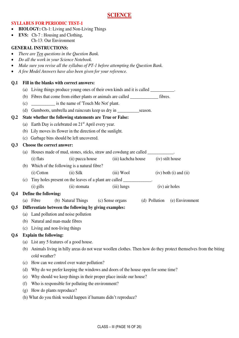#### **SYLLABUS FOR PERIODIC TEST-1**

- **BIOLOGY:** Ch-1: Living and Non-Living Things
- **EVS:** Ch-7 : Housing and Clothing, Ch-13: Our Environment

#### **GENERAL INSTRUCTIONS:**

- *There are Ten questions in the Question Bank.*
- *Do all the work in your Science Notebook.*
- *Make sure you revise all the syllabus of PT-1 before attempting the Question Bank.*
- *A few Model Answers have also been given for your reference.*

#### **Q.1 Fill in the blanks with correct answers:**

- (a) Living things produce young ones of their own kinds and it is called
- (b) Fibres that come from either plants or animals are called \_\_\_\_\_\_\_\_\_\_\_\_\_ fibres.
- (c) \_\_\_\_\_\_\_\_\_\_\_ is the name of 'Touch Me Not' plant.
- (d) Gumboots, umbrella and raincoats keep us dry in \_\_\_\_\_\_\_\_\_\_season.

#### **Q.2 State whether the following statements are True or False:**

- (a) Earth Day is celebrated on  $21<sup>st</sup>$  April every year.
- (b) Lily moves its flower in the direction of the sunlight.
- (c) Garbage bins should be left uncovered.

#### **Q.3 Choose the correct answer:**

| (a) Houses made of mud, stones, sticks, straw and cowdung are called |  |  |  |  |
|----------------------------------------------------------------------|--|--|--|--|
|                                                                      |  |  |  |  |

(i) flats (ii) pucca house (iii) kachcha house (iv) stilt house

(b) Which of the following is a natural fibre?

(i) Cotton (ii) Silk (iii) Wool (iv) both (i) and (ii)

(c) Tiny holes present on the leaves of a plant are called \_\_\_\_\_\_\_\_\_\_\_\_\_. (i) gills (ii) stomata (iii) lungs (iv) air holes

#### **Q.4 Define the following:**

(a) Fibre (b) Natural Things (c) Sense organs (d) Pollution (e) Environment

#### **Q.5 Differentiate between the following by giving examples:**

- (a) Land pollution and noise pollution
- (b) Natural and man-made fibres
- (c) Living and non-living things

#### **Q.6 Explain the following:**

- (a) List any 5 features of a good house.
- (b) Animals living in hilly areas do not wear woollen clothes. Then how do they protect themselves from the biting cold weather?
- (c) How can we control over water pollution?
- (d) Why do we prefer keeping the windows and doors of the house open for some time?
- (e) Why should we keep things in their proper place inside our house?
- (f) Who is responsible for polluting the environment?
- (g) How do plants reproduce?
- (h) What do you think would happen if humans didn't reproduce?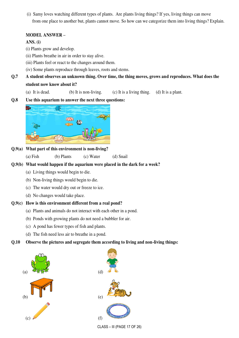(i) Samy loves watching different types of plants. Are plants living things? If yes, living things can move from one place to another but, plants cannot move. So how can we categorize them into living things? Explain.

#### **MODEL ANSWER –**

#### **ANS. (i)**

- (i) Plants grow and develop.
- (ii) Plants breathe in air in order to stay alive.
- (iii) Plants feel or react to the changes around them.
- (iv) Some plants reproduce through leaves, roots and stems.
- **Q.7 A student observes an unknown thing. Over time, the thing moves, grows and reproduces. What does the student now know about it?** 
	- (a) It is dead. (b) It is non-living. (c) It is a living thing. (d) It is a plant.

#### **Q.8 Use this aquarium to answer the next three questions:**



- **Q.9(a) What part of this environment is non-living?** 
	- (a) Fish (b) Plants (c) Water (d) Snail

#### **Q.9(b) What would happen if the aquarium were placed in the dark for a week?**

- (a) Living things would begin to die.
- (b) Non-living things would begin to die.
- (c) The water would dry out or freeze to ice.
- (d) No changes would take place.

#### **Q.9(c) How is this environment different from a real pond?**

- (a) Plants and animals do not interact with each other in a pond.
- (b) Ponds with growing plants do not need a bubbler for air.
- (c) A pond has fewer types of fish and plants.
- (d) The fish need less air to breathe in a pond.

#### **Q.10 Observe the pictures and segregate them according to living and non-living things:**





CLASS – III (PAGE 17 OF 26)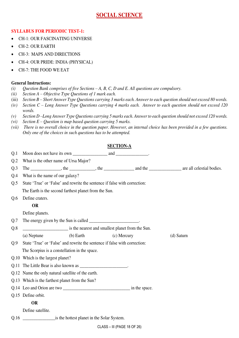## **SOCIAL SCIENCE**

#### **SYLLABUS FOR PERIODIC TEST-1:**

- CH-1: OUR FASCINATING UNIVERSE
- CH-2: OUR EARTH
- CH-3: MAPS AND DIRECTIONS
- CH-4: OUR PRIDE: INDIA (PHYSICAL)
- CH-7: THE FOOD WE EAT

#### **General Instructions:**

- *(i) Question Bank comprises of five Sections – A, B, C, D and E. All questions are compulsory.*
- *(ii) Section A – Objective Type Questions of 1 mark each.*
- (iii) *Section B – Short Answer Type Questions carrying 3 marks each. Answer to each question should not exceed 80 words.*
- *(iv) Section C – Long Answer Type Questions carrying 4 marks each. Answer to each question should not exceed 120 words.*
- *(v) Section D –Long Answer Type Questions carrying 5 marks each. Answer to each question should not exceed 120 words.*
- *(vi) Section E – Question is map based question carrying 5 marks.*
- *(vii) There is no overall choice in the question paper. However, an internal choice has been provided in a few questions. Only one of the choices in such questions has to be attempted.*

#### **SECTION-A**

| Q.1  |                                                                                                                                                                                                                                                                                                                                                                                                                               |             |            |
|------|-------------------------------------------------------------------------------------------------------------------------------------------------------------------------------------------------------------------------------------------------------------------------------------------------------------------------------------------------------------------------------------------------------------------------------|-------------|------------|
| Q.2  | What is the other name of Ursa Major?                                                                                                                                                                                                                                                                                                                                                                                         |             |            |
| Q.3  | The $\frac{1}{\sqrt{1-\frac{1}{\sqrt{1-\frac{1}{\sqrt{1-\frac{1}{\sqrt{1-\frac{1}{\sqrt{1-\frac{1}{\sqrt{1-\frac{1}{\sqrt{1-\frac{1}{\sqrt{1-\frac{1}{\sqrt{1-\frac{1}{\sqrt{1-\frac{1}{\sqrt{1-\frac{1}{\sqrt{1-\frac{1}{\sqrt{1-\frac{1}{\sqrt{1-\frac{1}{\sqrt{1-\frac{1}{\sqrt{1-\frac{1}{\sqrt{1-\frac{1}{\sqrt{1-\frac{1}{\sqrt{1-\frac{1}{\sqrt{1-\frac{1}{\sqrt{1-\frac{1}{\sqrt{1-\frac{1}{\sqrt{1-\frac{1}{\sqrt{1$ |             |            |
| Q.4  | What is the name of our galaxy?                                                                                                                                                                                                                                                                                                                                                                                               |             |            |
| Q.5  | State 'True' or 'False' and rewrite the sentence if false with correction:                                                                                                                                                                                                                                                                                                                                                    |             |            |
|      | The Earth is the second farthest planet from the Sun.                                                                                                                                                                                                                                                                                                                                                                         |             |            |
| Q.6  | Define craters.                                                                                                                                                                                                                                                                                                                                                                                                               |             |            |
|      | OR                                                                                                                                                                                                                                                                                                                                                                                                                            |             |            |
|      | Define planets.                                                                                                                                                                                                                                                                                                                                                                                                               |             |            |
| Q.7  | The energy given by the Sun is called ______________________.                                                                                                                                                                                                                                                                                                                                                                 |             |            |
| Q.8  | is the nearest and smallest planet from the Sun.                                                                                                                                                                                                                                                                                                                                                                              |             |            |
|      | (b) Earth<br>(a) Neptune                                                                                                                                                                                                                                                                                                                                                                                                      | (c) Mercury | (d) Saturn |
| Q.9  | State 'True' or 'False' and rewrite the sentence if false with correction:                                                                                                                                                                                                                                                                                                                                                    |             |            |
|      | The Scorpius is a constellation in the space.                                                                                                                                                                                                                                                                                                                                                                                 |             |            |
|      | Q.10 Which is the largest planet?                                                                                                                                                                                                                                                                                                                                                                                             |             |            |
|      | Q.11 The Little Bear is also known as ________________________.                                                                                                                                                                                                                                                                                                                                                               |             |            |
|      | Q.12 Name the only natural satellite of the earth.                                                                                                                                                                                                                                                                                                                                                                            |             |            |
|      | Q.13 Which is the farthest planet from the Sun?                                                                                                                                                                                                                                                                                                                                                                               |             |            |
|      |                                                                                                                                                                                                                                                                                                                                                                                                                               |             |            |
|      | Q.15 Define orbit.                                                                                                                                                                                                                                                                                                                                                                                                            |             |            |
|      | <b>OR</b>                                                                                                                                                                                                                                                                                                                                                                                                                     |             |            |
|      | Define satellite.                                                                                                                                                                                                                                                                                                                                                                                                             |             |            |
| Q.16 | is the hottest planet in the Solar System.                                                                                                                                                                                                                                                                                                                                                                                    |             |            |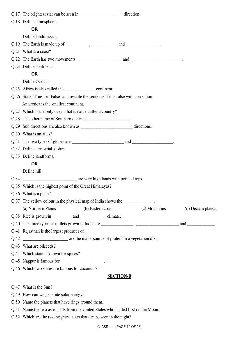|      | Q.17 The brightest star can be seen in ______________________________direction.       |                    |
|------|---------------------------------------------------------------------------------------|--------------------|
|      | Q.18 Define atmosphere.                                                               |                    |
|      | <b>OR</b>                                                                             |                    |
|      | Define landmasses.                                                                    |                    |
|      |                                                                                       |                    |
|      | Q.21 What is a coast?                                                                 |                    |
|      |                                                                                       |                    |
|      | Q.23 Define continents.                                                               |                    |
|      | <b>OR</b>                                                                             |                    |
|      | Define Oceans.                                                                        |                    |
|      | Q.25 Africa is also called the <u>continuent</u> continent.                           |                    |
|      | Q.26 State 'True' or 'False' and rewrite the sentence if it is false with correction: |                    |
|      | Antarctica is the smallest continent.                                                 |                    |
|      | Q.27 Which is the only ocean that is named after a country?                           |                    |
|      | Q.28 The other name of Southern ocean is _______________________.                     |                    |
|      |                                                                                       |                    |
|      | Q.30 What is an atlas?                                                                |                    |
|      |                                                                                       |                    |
|      | Q.32 Define terrestrial globes.                                                       |                    |
|      | Q.33 Define landforms.                                                                |                    |
|      | <b>OR</b>                                                                             |                    |
|      | Define hill.                                                                          |                    |
| Q.34 | are very high lands with pointed tops.                                                |                    |
|      | Q.35 Which is the highest point of the Great Himalayas?                               |                    |
|      | Q.36 What is a plain?                                                                 |                    |
|      | Q.37 The yellow colour in the physical map of India shows the _____________.          |                    |
|      | (c) Mountains<br>(a) Northern Plains<br>(b) Eastern coast                             | (d) Deccan plateau |
|      |                                                                                       |                    |
|      |                                                                                       |                    |
|      | Q.41 Rajasthan is the largest producer of _____________________.                      |                    |
| Q.42 | are the major source of protein in a vegetarian diet.                                 |                    |
|      | Q.43 What are oilseeds?                                                               |                    |
|      | Q.44 Which state is known for spices?                                                 |                    |
|      | Q.45 Nagpur is famous for _______________________.                                    |                    |
|      | Q.46 Which two states are famous for coconuts?                                        |                    |
|      | <b>SECTION-B</b>                                                                      |                    |
|      | Q.47 What is the Sun?                                                                 |                    |
|      | Q.49 How can we generate solar energy?                                                |                    |
|      | Q.50 Name the planets that have rings around them.                                    |                    |
|      | Q.51 Name the two astronauts from the United States who landed first on the Moon.     |                    |

Q.52 Which are the two brightest stars that can be seen in the night?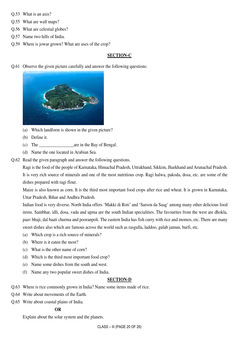- Q.53 What is an axis?
- Q.55 What are wall maps?
- Q.56 What are celestial globes?
- Q.57 Name two hills of India.
- Q.59 Where is jowar grown? What are uses of the crop?

#### **SECTION-C**

Q.61 Observe the given picture carefully and answer the following questions:



- (a) Which landform is shown in the given picture?
- (b) Define it.
- (c) The \_\_\_\_\_\_\_\_\_\_\_\_\_\_\_\_are in the Bay of Bengal.
- (d) Name the one located in Arabian Sea.
- Q.62 Read the given paragraph and answer the following questions.

 Ragi is the food of the people of Karnataka, Himachal Pradesh, Uttrakhand, Sikkim, Jharkhand and Arunachal Pradesh. It is very rich source of minerals and one of the most nutritious crop. Ragi halwa, pakoda, dosa, etc. are some of the dishes prepared with ragi flour.

 Maize is also known as corn. It is the third most important food crops after rice and wheat. It is grown in Karnataka, Uttar Pradesh, Bihar and Andhra Pradesh.

 Indian food is very diverse. North India offers 'Makki di Roti' and 'Sarson da Saag' among many other delicious food items. Sambhar, idli, dosa, vada and upma are the south Indian specialities. The favourites from the west are dhokla, paav bhaji, dal baati churma and pooranpoli. The eastern India has fish curry with rice and momos, etc. There are many sweet dishes also which are famous across the world such as rasgulla, laddoo, gulab jamun, burfi, etc.

- (a) Which crop is a rich source of minerals?
- (b) Where is it eaten the most?
- (c) What is the other name of corn?
- (d) Which is the third most important food crop?
- (e) Name some dishes from the south and west.
- (f) Name any two popular sweet dishes of India.

#### **SECTION-D**

- Q.63 Where is rice commonly grown in India? Name some items made of rice.
- Q.64 Write about movements of the Earth.
- Q.65 Write about coastal plains of India.

#### **OR**

Explain about the solar system and the planets.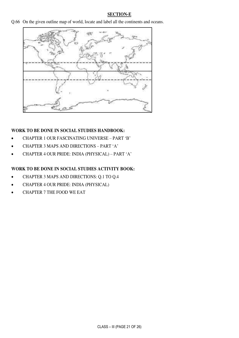#### **SECTION-E**

Q.66 On the given outline map of world, locate and label all the continents and oceans.



#### **WORK TO BE DONE IN SOCIAL STUDIES HANDBOOK:**

- CHAPTER 1 OUR FASCINATING UNIVERSE PART 'B'
- CHAPTER 3 MAPS AND DIRECTIONS PART 'A'
- CHAPTER 4 OUR PRIDE: INDIA (PHYSICAL) PART 'A'

#### **WORK TO BE DONE IN SOCIAL STUDIES ACTIVITY BOOK:**

- CHAPTER 3 MAPS AND DIRECTIONS: Q.1 TO Q.4
- CHAPTER 4 OUR PRIDE: INDIA (PHYSICAL)
- CHAPTER 7 THE FOOD WE EAT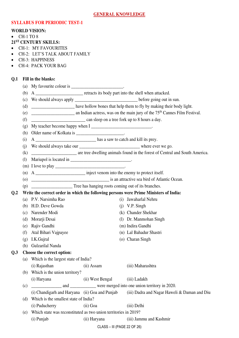#### **SYLLABUS FOR PERIODIC TEST-1**

#### **WORLD VISION:**

- $\bullet$  CH-1 TO 8
- **21ST CENTURY SKILLS:**
- CH-1: MY FAVOURITES
- CH-2: LET'S TALK ABOUT FAMILY
- CH-3: HAPPINESS
- CH-4: PACK YOUR BAG

#### **Q.1 Fill in the blanks:**

- (a) My favourite colour is  $\frac{1}{\sqrt{2\pi}}$
- (b) A \_\_\_\_\_\_\_\_\_\_\_\_\_\_\_\_\_\_\_\_\_\_ retracts its body part into the shell when attacked.
- (c) We should always apply \_\_\_\_\_\_\_\_\_\_\_\_\_\_\_\_\_\_\_\_\_\_\_\_\_\_\_\_\_ before going out in sun.
- (d) \_\_\_\_\_\_\_\_\_\_\_\_\_\_\_\_\_\_\_\_ have hollow bones that help them to fly by making their body light.
- (e) \_\_\_\_\_\_\_\_\_\_\_\_\_\_\_\_\_\_\_\_ an Indian actress, was on the main jury of the 75th Cannes Film Festival.
- (f)  $\frac{1}{\sqrt{2\pi}}$  can sleep on a tree fork up to 8 hours a day.
- (g) My teacher become happy when  $I$  \_\_\_\_\_\_\_\_\_\_\_\_\_\_\_\_\_\_\_\_\_\_\_\_\_\_\_\_\_\_\_\_\_.
- (h) Older name of Kolkata is  $\frac{1}{\sqrt{1-\frac{1}{n}}}\cdot$
- (i) A \_\_\_\_\_\_\_\_\_\_\_\_\_\_\_\_\_\_\_\_\_\_\_\_\_\_\_\_ has a saw to catch and kill its prey.
- (i) We should always take our  $\blacksquare$
- (k) \_\_\_\_\_\_\_\_\_\_\_\_\_\_\_\_\_\_\_\_\_ are tree dwelling animals found in the forest of Central and South America.
- (1) Mariupol is located in  $\Box$
- (m) I love to play \_\_\_\_\_\_\_\_\_\_\_\_\_\_\_\_\_\_\_\_\_\_\_\_\_\_\_\_\_\_\_\_.
- (n) A \_\_\_\_\_\_\_\_\_\_\_\_\_\_\_\_\_\_\_\_\_\_\_ inject venom into the enemy to protect itself.
- (o) \_\_\_\_\_\_\_\_\_\_\_\_\_\_\_\_\_\_\_\_\_\_\_\_\_\_\_\_\_\_\_\_\_\_\_\_ is an attractive sea bird of Atlantic Ocean.
- (p) \_\_\_\_\_\_\_\_\_\_\_\_\_\_\_\_\_\_\_ Tree has hanging roots coming out of its branches.

**Q.2 Write the correct order in which the following persons were Prime Ministers of India:** 

- (a) P.V. Narsimha Rao (i) Jawaharlal Nehru
	- (b) H.D. Deve Gowda (j) V.P. Singh
	- (c) Narender Modi (k) Chander Shekhar
	- (d) Morarji Desai (l) Dr. Manmohan Singh
	- (e) Rajiv Gandhi (m) Indira Gandhi
- (f) Atal Bihari Vajpayee (n) Lal Bahadur Shastri
- (g) I.K.Gujral (o) Charan Singh
- (h) Gulzarilal Nanda

#### **Q.3 Choose the correct option:**

- (a) Which is the largest state of India?
- (i) Rajasthan (ii) Assam (iii) Maharashtra
	- (b) Which is the union territory?
- 
- 
- 
- 
- 
- (i) Haryana (ii) West Bengal (iii) Ladakh
- (c) \_\_\_\_\_\_\_\_\_\_\_\_\_\_ and \_\_\_\_\_\_\_\_\_\_\_\_ were merged into one union territory in 2020.
	- (i) Chandigarh and Haryana (ii) Goa and Punjab (iii) Dadra and Nagar Haweli & Daman and Diu
- (d) Which is the smallest state of India?
	- (i) Puducherry (ii) Goa (iii) Delhi
- (e) Which state was reconstituted as two union territories in 2019? (i) Punjab (ii) Haryana (iii) Jammu and Kashmir
	- CLASS III (PAGE 22 OF 26)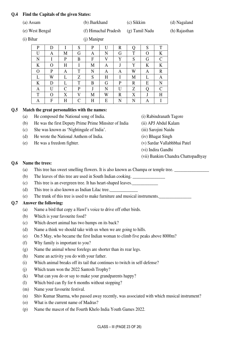#### **Q.4 Find the Capitals of the given States:**

|           | (a) Assam       |          |           |               | (b) Jharkhand        |   |             | (c) Sikkim       |   |               | (d) Nagaland  |
|-----------|-----------------|----------|-----------|---------------|----------------------|---|-------------|------------------|---|---------------|---------------|
|           | (e) West Bengal |          |           |               | (f) Himachal Pradesh |   |             | $(g)$ Tamil Nadu |   |               | (h) Rajasthan |
| (i) Bihar |                 |          |           |               | (j) Manipur          |   |             |                  |   |               |               |
|           | P               | D        |           | S             | P                    | U | R           | Q                | S | T             |               |
|           | U               | A        | M         | G             | A                    | N | G           | T                | O | K             |               |
|           | N               |          | P         | B             | F                    | V | Y           | S                | G | $\mathcal{C}$ |               |
|           | K               | $\Omega$ | H         | I             | M                    | A | J           | Y                | K | K             |               |
|           | O               | P        | A         | T             | N                    | A | A           | W                | A | R             |               |
|           | L               | W        |           | Z             | S                    | H |             | M                | L | A             |               |
|           | K               | D        |           | T             | B                    | G | P           | $\mathbb{R}$     | E | N             |               |
|           | A               | U        | C         | P             |                      | N | U           | Z                | О | C             |               |
|           | T               | $\Omega$ | X         | V             | M                    | W | $\mathbf R$ | X                | J | H             |               |
|           | A               | F        | $H_{\rm}$ | $\mathcal{C}$ | H                    | E | N           | N                | A | I             |               |

#### **Q.5 Match the great personalities with the names:**

- (a) He composed the National song of India. (i) Rabindranath Tagore
- (b) He was the first Deputy Prime Prime Minsiter of India (ii) APJ Abdul Kalam
- (c) She was known as 'Nightingale of India'. (iii) Sarojini Naidu
- (d) He wrote the National Anthem of India. (iv) Bhagat Singh
- (e) He was a freedom fighter. (v) Sardar Vallabhbhai Patel
- 
- 
- 
- 
- - (vi) Indira Gandhi
	- (vii) Bankim Chandra Chattopadhyay

#### **Q.6 Name the trees:**

- (a) This tree has sweet smelling flowers. It is also known as Champa or temple tree.
- (b) The leaves of this tree are used in South Indian cooking.
- (c) This tree is an evergreen tree. It has heart-shaped leaves.\_\_\_\_\_\_\_\_\_\_\_\_
- (d) This tree is also known as Indian Lilac tree.
- (e) The trunk of this tree is used to make furniture and musical instruments.\_\_\_\_\_\_\_\_\_\_\_\_\_\_\_

### **Q.7 Answer the following:**

- (a) Name a bird that copy a Hawl's voice to drive off other birds.
- (b) Which is your favourite food?
- (c) Which desert animal has two humps on its back?
- (d) Name a think we should take with us when we are going to hills.
- (e) On 5 May, who became the first Indian woman to climb five peaks above 8000m?
- (f) Why family is important to you?
- (g) Name the animal whose forelegs are shorter than its rear legs.
- (h) Name an activity you do with your father.
- (i) Which animal breaks off its tail that continues to twitch in self-defense?
- (j) Which team won the 2022 Santosh Trophy?
- (k) What can you do or say to make your grandparents happy?
- (l) Which bird can fly for 6 months without stopping?
- (m) Name your favourite festival.
- (n) Shiv Kumar Sharma, who passed away recently, was associated with which musical instrument?
- (o) What is the current name of Madras?
- (p) Name the mascot of the Fourth Khelo India Youth Games 2022.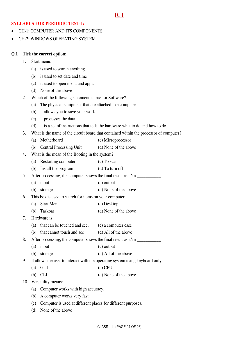### **ICT**

#### **SYLLABUS FOR PERIODIC TEST-1:**

- CH-1: COMPUTER AND ITS COMPONENTS
- CH-2: WINDOWS OPERATING SYSTEM

#### **Q.1 Tick the correct option:**

- 1. Start menu:
	- (a) is used to search anything.
	- (b) is used to set date and time
	- (c) is used to open menu and apps.
	- (d) None of the above
- 2. Which of the following statement is true for Software?
	- (a) The physical equipment that are attached to a computer.
	- (b) It allows you to save your work.
	- (c) It processes the data.
	- (d) It is a set of instructions that tells the hardware what to do and how to do.
- 3. What is the name of the circuit board that contained within the processor of computer?
	- (a) Motherboard (c) Microprocessor
	- (b) Central Processing Unit (d) None of the above
- 4. What is the mean of the Booting in the system?
- (a) Restarting computer (c) To scan (b) Install the program (d) To turn off

5. After processing, the computer shows the final result as  $a/an$ 

- (a) input (c) output
- (b) storage (d) None of the above
- 6. This box is used to search for items on your computer.
	- (a) Start Menu (c) Desktop
	- (b) Taskbar (d) None of the above
- 7. Hardware is:
	- (a) that can be touched and see. (c) a computer case
	- (b) that cannot touch and see (d) All of the above
- 8. After processing, the computer shows the final result as  $a/an$ 
	- (a) input (c) output
		- (b) storage (d) All of the above
- 9. It allows the user to interact with the operating system using keyboard only.
	- (a) GUI (c) CPU
	- (b) CLI (d) None of the above

10. Versatility means:

- (a) Computer works with high accuracy.
- (b) A computer works very fast.
- (c) Computer is used at different places for different purposes.
- (d) None of the above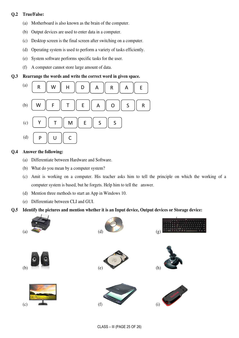#### **Q.2 True/False:**

- (a) Motherboard is also known as the brain of the computer.
- (b) Output devices are used to enter data in a computer.
- (c) Desktop screen is the final screen after switching on a computer.
- (d) Operating system is used to perform a variety of tasks efficiently.
- (e) System software performs specific tasks for the user.
- (f) A computer cannot store large amount of data.

#### **Q.3 Rearrange the words and write the correct word in given space.**



#### **Q.4 Answer the following:**

- (a) Differentiate between Hardware and Software.
- (b) What do you mean by a computer system?
- (c) Amit is working on a computer. His teacher asks him to tell the principle on which the working of a computer system is based, but he forgets. Help him to tell the answer.
- (d) Mention three methods to start an App in Windows 10.
- (e) Differentiate between CLI and GUI.

#### **Q.5 Identify the pictures and mention whether it is an Input device, Output devices or Storage device:**